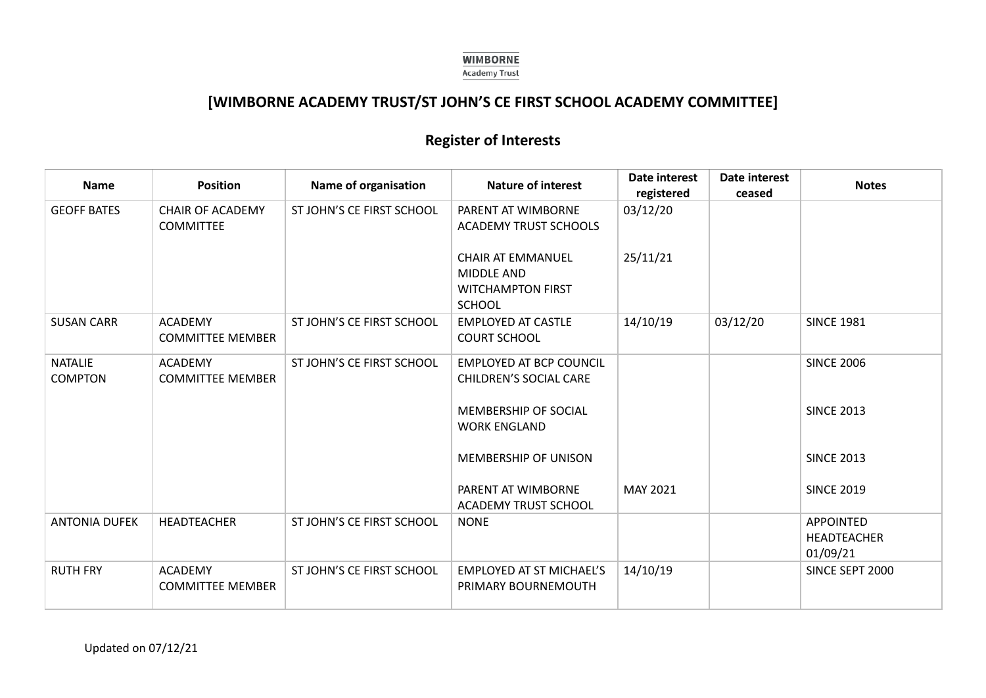

## **[WIMBORNE ACADEMY TRUST/ST JOHN'S CE FIRST SCHOOL ACADEMY COMMITTEE]**

# **Register of Interests**

| <b>Name</b>                      | <b>Position</b>                             | Name of organisation      | <b>Nature of interest</b>                                                                  | Date interest<br>registered | Date interest<br>ceased | <b>Notes</b>                                |
|----------------------------------|---------------------------------------------|---------------------------|--------------------------------------------------------------------------------------------|-----------------------------|-------------------------|---------------------------------------------|
| <b>GEOFF BATES</b>               | <b>CHAIR OF ACADEMY</b><br><b>COMMITTEE</b> | ST JOHN'S CE FIRST SCHOOL | PARENT AT WIMBORNE<br><b>ACADEMY TRUST SCHOOLS</b>                                         | 03/12/20                    |                         |                                             |
|                                  |                                             |                           | <b>CHAIR AT EMMANUEL</b><br><b>MIDDLE AND</b><br><b>WITCHAMPTON FIRST</b><br><b>SCHOOL</b> | 25/11/21                    |                         |                                             |
| <b>SUSAN CARR</b>                | <b>ACADEMY</b><br><b>COMMITTEE MEMBER</b>   | ST JOHN'S CE FIRST SCHOOL | <b>EMPLOYED AT CASTLE</b><br><b>COURT SCHOOL</b>                                           | 14/10/19                    | 03/12/20                | <b>SINCE 1981</b>                           |
| <b>NATALIE</b><br><b>COMPTON</b> | <b>ACADEMY</b><br><b>COMMITTEE MEMBER</b>   | ST JOHN'S CE FIRST SCHOOL | <b>EMPLOYED AT BCP COUNCIL</b><br><b>CHILDREN'S SOCIAL CARE</b>                            |                             |                         | <b>SINCE 2006</b>                           |
|                                  |                                             |                           | <b>MEMBERSHIP OF SOCIAL</b><br><b>WORK ENGLAND</b>                                         |                             |                         | <b>SINCE 2013</b>                           |
|                                  |                                             |                           | MEMBERSHIP OF UNISON                                                                       |                             |                         | <b>SINCE 2013</b>                           |
|                                  |                                             |                           | PARENT AT WIMBORNE<br><b>ACADEMY TRUST SCHOOL</b>                                          | MAY 2021                    |                         | <b>SINCE 2019</b>                           |
| <b>ANTONIA DUFEK</b>             | <b>HEADTEACHER</b>                          | ST JOHN'S CE FIRST SCHOOL | <b>NONE</b>                                                                                |                             |                         | <b>APPOINTED</b><br>HEADTEACHER<br>01/09/21 |
| <b>RUTH FRY</b>                  | <b>ACADEMY</b><br><b>COMMITTEE MEMBER</b>   | ST JOHN'S CE FIRST SCHOOL | <b>EMPLOYED AT ST MICHAEL'S</b><br>PRIMARY BOURNEMOUTH                                     | 14/10/19                    |                         | SINCE SEPT 2000                             |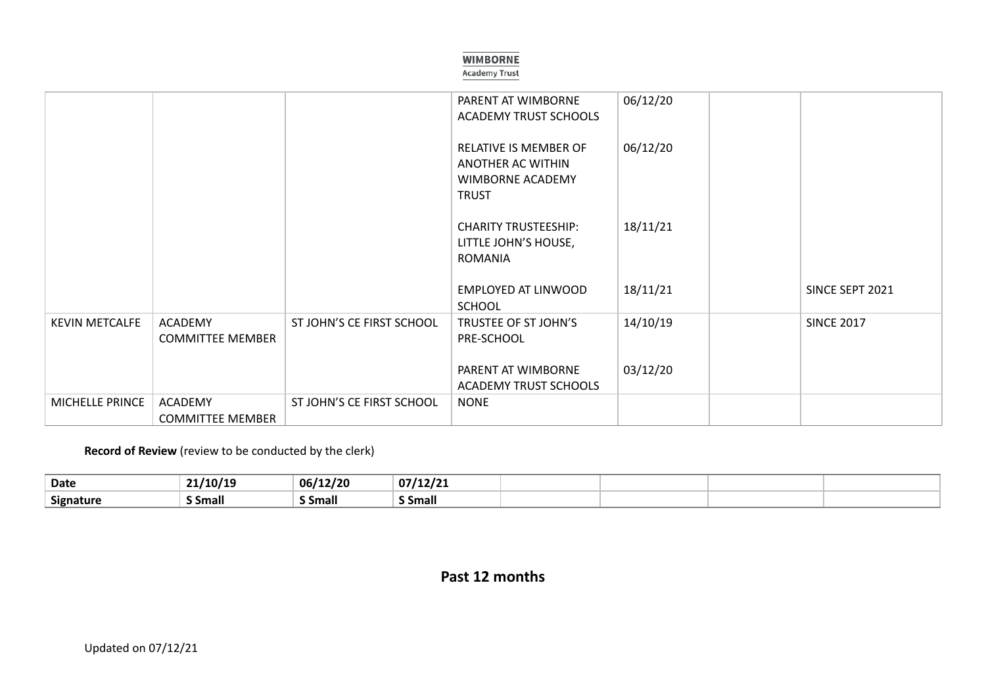#### **WIMBORNE**

#### **Academy Trust**

|                       |                                           |                           | PARENT AT WIMBORNE<br><b>ACADEMY TRUST SCHOOLS</b>                             | 06/12/20 |                   |
|-----------------------|-------------------------------------------|---------------------------|--------------------------------------------------------------------------------|----------|-------------------|
|                       |                                           |                           | RELATIVE IS MEMBER OF<br>ANOTHER AC WITHIN<br>WIMBORNE ACADEMY<br><b>TRUST</b> | 06/12/20 |                   |
|                       |                                           |                           | <b>CHARITY TRUSTEESHIP:</b><br>LITTLE JOHN'S HOUSE,<br><b>ROMANIA</b>          | 18/11/21 |                   |
|                       |                                           |                           | EMPLOYED AT LINWOOD<br><b>SCHOOL</b>                                           | 18/11/21 | SINCE SEPT 2021   |
| <b>KEVIN METCALFE</b> | <b>ACADEMY</b><br><b>COMMITTEE MEMBER</b> | ST JOHN'S CE FIRST SCHOOL | TRUSTEE OF ST JOHN'S<br>PRE-SCHOOL                                             | 14/10/19 | <b>SINCE 2017</b> |
|                       |                                           |                           | PARENT AT WIMBORNE<br><b>ACADEMY TRUST SCHOOLS</b>                             | 03/12/20 |                   |
| MICHELLE PRINCE       | <b>ACADEMY</b><br><b>COMMITTEE MEMBER</b> | ST JOHN'S CE FIRST SCHOOL | <b>NONE</b>                                                                    |          |                   |

**Record of Review** (review to be conducted by the clerk)

| <b>Date</b>      | /10/19                | 06/12/20             | 0714212<br>,,,12,21 |  |  |
|------------------|-----------------------|----------------------|---------------------|--|--|
| <b>Signature</b> | . .<br><b>S</b> Small | $\cdot$ .<br>S Small | <b>Small</b>        |  |  |

### **Past 12 months**